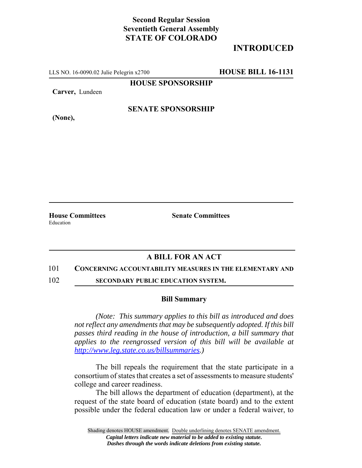## **Second Regular Session Seventieth General Assembly STATE OF COLORADO**

# **INTRODUCED**

LLS NO. 16-0090.02 Julie Pelegrin x2700 **HOUSE BILL 16-1131**

**HOUSE SPONSORSHIP**

**Carver,** Lundeen

**(None),**

**SENATE SPONSORSHIP**

Education

**House Committees Senate Committees**

## **A BILL FOR AN ACT**

### 101 **CONCERNING ACCOUNTABILITY MEASURES IN THE ELEMENTARY AND**

102 **SECONDARY PUBLIC EDUCATION SYSTEM.**

#### **Bill Summary**

*(Note: This summary applies to this bill as introduced and does not reflect any amendments that may be subsequently adopted. If this bill passes third reading in the house of introduction, a bill summary that applies to the reengrossed version of this bill will be available at http://www.leg.state.co.us/billsummaries.)*

The bill repeals the requirement that the state participate in a consortium of states that creates a set of assessments to measure students' college and career readiness.

The bill allows the department of education (department), at the request of the state board of education (state board) and to the extent possible under the federal education law or under a federal waiver, to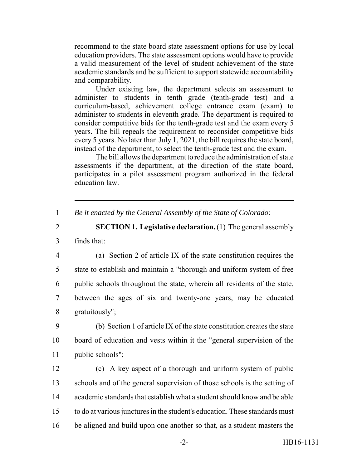recommend to the state board state assessment options for use by local education providers. The state assessment options would have to provide a valid measurement of the level of student achievement of the state academic standards and be sufficient to support statewide accountability and comparability.

Under existing law, the department selects an assessment to administer to students in tenth grade (tenth-grade test) and a curriculum-based, achievement college entrance exam (exam) to administer to students in eleventh grade. The department is required to consider competitive bids for the tenth-grade test and the exam every 5 years. The bill repeals the requirement to reconsider competitive bids every 5 years. No later than July 1, 2021, the bill requires the state board, instead of the department, to select the tenth-grade test and the exam.

The bill allows the department to reduce the administration of state assessments if the department, at the direction of the state board, participates in a pilot assessment program authorized in the federal education law.

1 *Be it enacted by the General Assembly of the State of Colorado:*

2 **SECTION 1. Legislative declaration.** (1) The general assembly

3 finds that:

 (a) Section 2 of article IX of the state constitution requires the state to establish and maintain a "thorough and uniform system of free public schools throughout the state, wherein all residents of the state, between the ages of six and twenty-one years, may be educated gratuitously";

9 (b) Section 1 of article IX of the state constitution creates the state 10 board of education and vests within it the "general supervision of the 11 public schools";

 (c) A key aspect of a thorough and uniform system of public schools and of the general supervision of those schools is the setting of academic standards that establish what a student should know and be able to do at various junctures in the student's education. These standards must be aligned and build upon one another so that, as a student masters the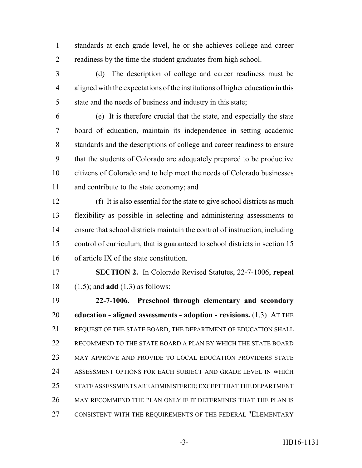standards at each grade level, he or she achieves college and career readiness by the time the student graduates from high school.

 (d) The description of college and career readiness must be aligned with the expectations of the institutions of higher education in this state and the needs of business and industry in this state;

 (e) It is therefore crucial that the state, and especially the state board of education, maintain its independence in setting academic standards and the descriptions of college and career readiness to ensure that the students of Colorado are adequately prepared to be productive citizens of Colorado and to help meet the needs of Colorado businesses and contribute to the state economy; and

 (f) It is also essential for the state to give school districts as much flexibility as possible in selecting and administering assessments to ensure that school districts maintain the control of instruction, including control of curriculum, that is guaranteed to school districts in section 15 of article IX of the state constitution.

 **SECTION 2.** In Colorado Revised Statutes, 22-7-1006, **repeal** (1.5); and **add** (1.3) as follows:

 **22-7-1006. Preschool through elementary and secondary education - aligned assessments - adoption - revisions.** (1.3) AT THE REQUEST OF THE STATE BOARD, THE DEPARTMENT OF EDUCATION SHALL RECOMMEND TO THE STATE BOARD A PLAN BY WHICH THE STATE BOARD MAY APPROVE AND PROVIDE TO LOCAL EDUCATION PROVIDERS STATE ASSESSMENT OPTIONS FOR EACH SUBJECT AND GRADE LEVEL IN WHICH STATE ASSESSMENTS ARE ADMINISTERED; EXCEPT THAT THE DEPARTMENT MAY RECOMMEND THE PLAN ONLY IF IT DETERMINES THAT THE PLAN IS CONSISTENT WITH THE REQUIREMENTS OF THE FEDERAL "ELEMENTARY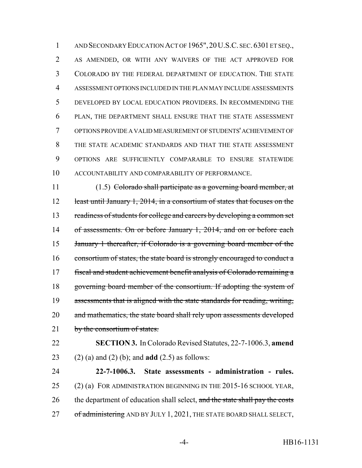AND SECONDARY EDUCATION ACT OF 1965",20U.S.C. SEC. 6301 ET SEQ., AS AMENDED, OR WITH ANY WAIVERS OF THE ACT APPROVED FOR COLORADO BY THE FEDERAL DEPARTMENT OF EDUCATION. THE STATE ASSESSMENT OPTIONS INCLUDED IN THE PLAN MAY INCLUDE ASSESSMENTS DEVELOPED BY LOCAL EDUCATION PROVIDERS. IN RECOMMENDING THE PLAN, THE DEPARTMENT SHALL ENSURE THAT THE STATE ASSESSMENT OPTIONS PROVIDE A VALID MEASUREMENT OF STUDENTS' ACHIEVEMENT OF THE STATE ACADEMIC STANDARDS AND THAT THE STATE ASSESSMENT OPTIONS ARE SUFFICIENTLY COMPARABLE TO ENSURE STATEWIDE ACCOUNTABILITY AND COMPARABILITY OF PERFORMANCE.

 (1.5) Colorado shall participate as a governing board member, at 12 least until January 1, 2014, in a consortium of states that focuses on the 13 readiness of students for college and careers by developing a common set 14 of assessments. On or before January 1, 2014, and on or before each January 1 thereafter, if Colorado is a governing board member of the 16 consortium of states, the state board is strongly encouraged to conduct a fiscal and student achievement benefit analysis of Colorado remaining a governing board member of the consortium. If adopting the system of 19 assessments that is aligned with the state standards for reading, writing, 20 and mathematics, the state board shall rely upon assessments developed 21 by the consortium of states.

 **SECTION 3.** In Colorado Revised Statutes, 22-7-1006.3, **amend** (2) (a) and (2) (b); and **add** (2.5) as follows:

 **22-7-1006.3. State assessments - administration - rules.** (2) (a) FOR ADMINISTRATION BEGINNING IN THE 2015-16 SCHOOL YEAR, 26 the department of education shall select, and the state shall pay the costs 27 of administering AND BY JULY 1, 2021, THE STATE BOARD SHALL SELECT,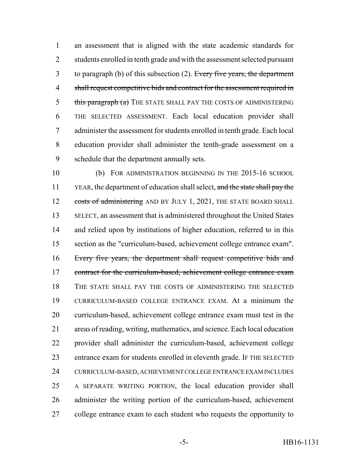an assessment that is aligned with the state academic standards for 2 students enrolled in tenth grade and with the assessment selected pursuant 3 to paragraph (b) of this subsection (2). Every five years, the department shall request competitive bids and contract for the assessment required in 5 this paragraph (a) THE STATE SHALL PAY THE COSTS OF ADMINISTERING THE SELECTED ASSESSMENT. Each local education provider shall administer the assessment for students enrolled in tenth grade. Each local education provider shall administer the tenth-grade assessment on a schedule that the department annually sets.

 (b) FOR ADMINISTRATION BEGINNING IN THE 2015-16 SCHOOL 11 YEAR, the department of education shall select, and the state shall pay the 12 costs of administering AND BY JULY 1, 2021, THE STATE BOARD SHALL SELECT, an assessment that is administered throughout the United States and relied upon by institutions of higher education, referred to in this section as the "curriculum-based, achievement college entrance exam". Every five years, the department shall request competitive bids and 17 contract for the curriculum-based, achievement college entrance exam THE STATE SHALL PAY THE COSTS OF ADMINISTERING THE SELECTED CURRICULUM-BASED COLLEGE ENTRANCE EXAM. At a minimum the curriculum-based, achievement college entrance exam must test in the areas of reading, writing, mathematics, and science. Each local education provider shall administer the curriculum-based, achievement college entrance exam for students enrolled in eleventh grade. IF THE SELECTED CURRICULUM-BASED, ACHIEVEMENT COLLEGE ENTRANCE EXAM INCLUDES A SEPARATE WRITING PORTION, the local education provider shall administer the writing portion of the curriculum-based, achievement college entrance exam to each student who requests the opportunity to